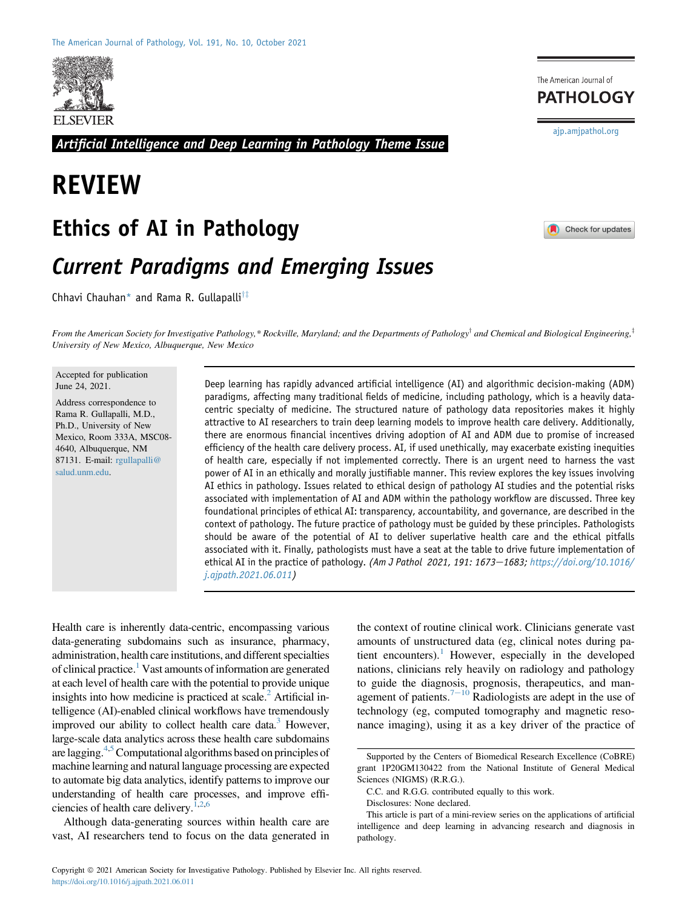

Artificial Intelligence and Deep Learning in Pathology Theme Issue

# REVIEW

## Ethics of AI in Pathology

## Current Paradigms and Emerging Issues

Chhavi Chauhan\* and Rama R. Gullapalli<sup>†‡</sup>



[ajp.amjpathol.org](http://ajp.amjpathol.org)

The American Journal of **PATHOLOGY** 

From the American Society for Investigative Pathology,\* Rockville, Maryland; and the Departments of Pathology<sup>†</sup> and Chemical and Biological Engineering,<sup>‡</sup> University of New Mexico, Albuquerque, New Mexico

Accepted for publication June 24, 2021.

Address correspondence to Rama R. Gullapalli, M.D., Ph.D., University of New Mexico, Room 333A, MSC08- 4640, Albuquerque, NM 87131. E-mail: [rgullapalli@](mailto:rgullapalli@salud.unm.edu) [salud.unm.edu.](mailto:rgullapalli@salud.unm.edu)

Deep learning has rapidly advanced artificial intelligence (AI) and algorithmic decision-making (ADM) paradigms, affecting many traditional fields of medicine, including pathology, which is a heavily datacentric specialty of medicine. The structured nature of pathology data repositories makes it highly attractive to AI researchers to train deep learning models to improve health care delivery. Additionally, there are enormous financial incentives driving adoption of AI and ADM due to promise of increased efficiency of the health care delivery process. AI, if used unethically, may exacerbate existing inequities of health care, especially if not implemented correctly. There is an urgent need to harness the vast power of AI in an ethically and morally justifiable manner. This review explores the key issues involving AI ethics in pathology. Issues related to ethical design of pathology AI studies and the potential risks associated with implementation of AI and ADM within the pathology workflow are discussed. Three key foundational principles of ethical AI: transparency, accountability, and governance, are described in the context of pathology. The future practice of pathology must be guided by these principles. Pathologists should be aware of the potential of AI to deliver superlative health care and the ethical pitfalls associated with it. Finally, pathologists must have a seat at the table to drive future implementation of ethical AI in the practice of pathology. (Am J Pathol 2021, 191: 1673-1683; [https://doi.org/10.1016/](https://doi.org/10.1016/j.ajpath.2021.06.011) [j.ajpath.2021.06.011\)](https://doi.org/10.1016/j.ajpath.2021.06.011)

Health care is inherently data-centric, encompassing various data-generating subdomains such as insurance, pharmacy, administration, health care institutions, and different specialties of clinical practice.<sup>1</sup> Vast amounts of information are generated at each level of health care with the potential to provide unique insights into how medicine is practiced at scale.<sup>2</sup> Artificial intelligence (AI)-enabled clinical workflows have tremendously improved our ability to collect health care data.<sup>3</sup> However, large-scale data analytics across these health care subdomains are lagging.<sup>4,[5](#page-9-4)</sup> Computational algorithms based on principles of machine learning and natural language processing are expected to automate big data analytics, identify patterns to improve our understanding of health care processes, and improve effi-ciencies of health care delivery.<sup>[1](#page-9-0)[,2,](#page-9-1)[6](#page-9-5)</sup>

Although data-generating sources within health care are vast, AI researchers tend to focus on the data generated in

the context of routine clinical work. Clinicians generate vast amounts of unstructured data (eg, clinical notes during pa-tient encounters).<sup>[1](#page-9-0)</sup> However, especially in the developed nations, clinicians rely heavily on radiology and pathology to guide the diagnosis, prognosis, therapeutics, and management of patients. $7-10$  $7-10$  $7-10$  Radiologists are adept in the use of technology (eg, computed tomography and magnetic resonance imaging), using it as a key driver of the practice of

Supported by the Centers of Biomedical Research Excellence (CoBRE) grant 1P20GM130422 from the National Institute of General Medical Sciences (NIGMS) (R.R.G.).

C.C. and R.G.G. contributed equally to this work.

Disclosures: None declared.

This article is part of a mini-review series on the applications of artificial intelligence and deep learning in advancing research and diagnosis in pathology.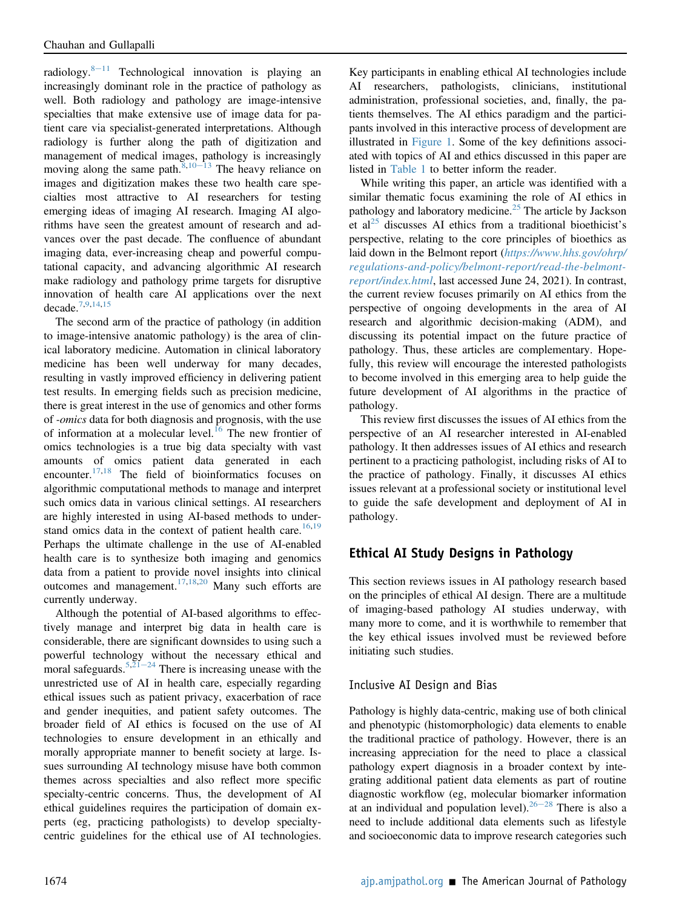radiology.  $8-11$  $8-11$  $8-11$  Technological innovation is playing an increasingly dominant role in the practice of pathology as well. Both radiology and pathology are image-intensive specialties that make extensive use of image data for patient care via specialist-generated interpretations. Although radiology is further along the path of digitization and management of medical images, pathology is increasingly moving along the same path. $8,10-13$  $8,10-13$  $8,10-13$  $8,10-13$  $8,10-13$  The heavy reliance on images and digitization makes these two health care specialties most attractive to AI researchers for testing emerging ideas of imaging AI research. Imaging AI algorithms have seen the greatest amount of research and advances over the past decade. The confluence of abundant imaging data, ever-increasing cheap and powerful computational capacity, and advancing algorithmic AI research make radiology and pathology prime targets for disruptive innovation of health care AI applications over the next decade.[7,](#page-9-6)[9](#page-9-9)[,14](#page-9-10)[,15](#page-9-11)

The second arm of the practice of pathology (in addition to image-intensive anatomic pathology) is the area of clinical laboratory medicine. Automation in clinical laboratory medicine has been well underway for many decades, resulting in vastly improved efficiency in delivering patient test results. In emerging fields such as precision medicine, there is great interest in the use of genomics and other forms of -omics data for both diagnosis and prognosis, with the use of information at a molecular level.<sup>[16](#page-9-12)</sup> The new frontier of omics technologies is a true big data specialty with vast amounts of omics patient data generated in each encounter.[17,](#page-9-13)[18](#page-10-0) The field of bioinformatics focuses on algorithmic computational methods to manage and interpret such omics data in various clinical settings. AI researchers are highly interested in using AI-based methods to under-stand omics data in the context of patient health care.<sup>[16](#page-9-12)[,19](#page-10-1)</sup> Perhaps the ultimate challenge in the use of AI-enabled health care is to synthesize both imaging and genomics data from a patient to provide novel insights into clinical outcomes and management.<sup>[17](#page-9-13)[,18](#page-10-0)[,20](#page-10-2)</sup> Many such efforts are currently underway.

Although the potential of AI-based algorithms to effectively manage and interpret big data in health care is considerable, there are significant downsides to using such a powerful technology without the necessary ethical and moral safeguards.<sup>[5,](#page-9-4)[21](#page-10-3)–[24](#page-10-3)</sup> There is increasing unease with the unrestricted use of AI in health care, especially regarding ethical issues such as patient privacy, exacerbation of race and gender inequities, and patient safety outcomes. The broader field of AI ethics is focused on the use of AI technologies to ensure development in an ethically and morally appropriate manner to benefit society at large. Issues surrounding AI technology misuse have both common themes across specialties and also reflect more specific specialty-centric concerns. Thus, the development of AI ethical guidelines requires the participation of domain experts (eg, practicing pathologists) to develop specialtycentric guidelines for the ethical use of AI technologies.

Key participants in enabling ethical AI technologies include AI researchers, pathologists, clinicians, institutional administration, professional societies, and, finally, the patients themselves. The AI ethics paradigm and the participants involved in this interactive process of development are illustrated in [Figure 1](#page-2-0). Some of the key definitions associated with topics of AI and ethics discussed in this paper are listed in [Table 1](#page-3-0) to better inform the reader.

While writing this paper, an article was identified with a similar thematic focus examining the role of AI ethics in pathology and laboratory medicine.<sup>[25](#page-10-4)</sup> The article by Jackson et al<sup>[25](#page-10-4)</sup> discusses AI ethics from a traditional bioethicist's perspective, relating to the core principles of bioethics as laid down in the Belmont report ([https://www.hhs.gov/ohrp/](https://www.hhs.gov/ohrp/regulations-and-policy/belmont-report/read-the-belmont-report/index.html) [regulations-and-policy/belmont-report/read-the-belmont](https://www.hhs.gov/ohrp/regulations-and-policy/belmont-report/read-the-belmont-report/index.html)[report/index.html](https://www.hhs.gov/ohrp/regulations-and-policy/belmont-report/read-the-belmont-report/index.html), last accessed June 24, 2021). In contrast, the current review focuses primarily on AI ethics from the perspective of ongoing developments in the area of AI research and algorithmic decision-making (ADM), and discussing its potential impact on the future practice of pathology. Thus, these articles are complementary. Hopefully, this review will encourage the interested pathologists to become involved in this emerging area to help guide the future development of AI algorithms in the practice of pathology.

This review first discusses the issues of AI ethics from the perspective of an AI researcher interested in AI-enabled pathology. It then addresses issues of AI ethics and research pertinent to a practicing pathologist, including risks of AI to the practice of pathology. Finally, it discusses AI ethics issues relevant at a professional society or institutional level to guide the safe development and deployment of AI in pathology.

## Ethical AI Study Designs in Pathology

This section reviews issues in AI pathology research based on the principles of ethical AI design. There are a multitude of imaging-based pathology AI studies underway, with many more to come, and it is worthwhile to remember that the key ethical issues involved must be reviewed before initiating such studies.

#### Inclusive AI Design and Bias

Pathology is highly data-centric, making use of both clinical and phenotypic (histomorphologic) data elements to enable the traditional practice of pathology. However, there is an increasing appreciation for the need to place a classical pathology expert diagnosis in a broader context by integrating additional patient data elements as part of routine diagnostic workflow (eg, molecular biomarker information at an individual and population level). <sup>26–[28](#page-10-5)</sup> There is also a need to include additional data elements such as lifestyle and socioeconomic data to improve research categories such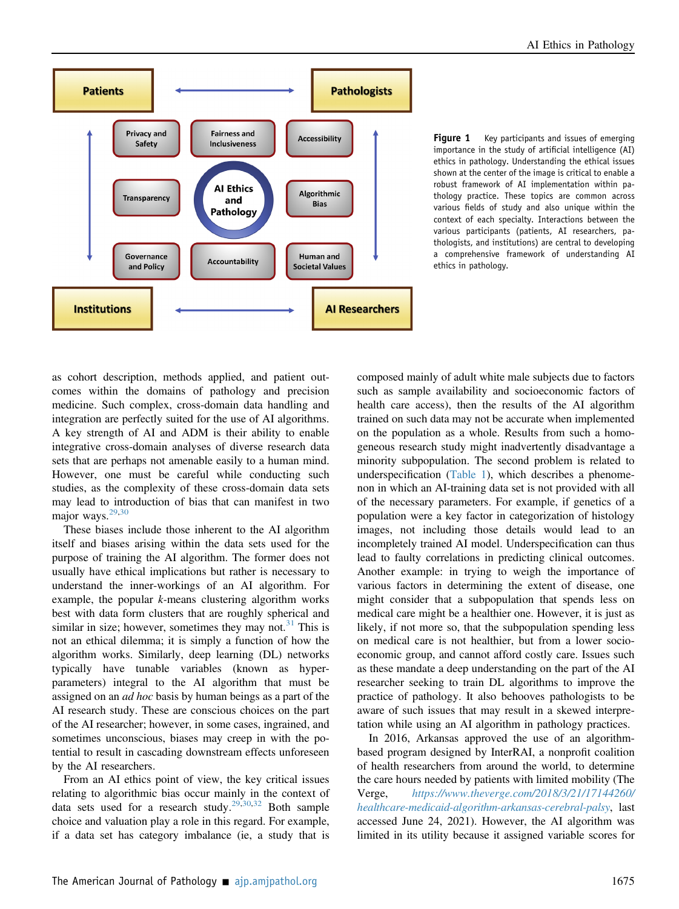<span id="page-2-0"></span>

Figure 1 Key participants and issues of emerging importance in the study of artificial intelligence (AI) ethics in pathology. Understanding the ethical issues shown at the center of the image is critical to enable a robust framework of AI implementation within pathology practice. These topics are common across various fields of study and also unique within the context of each specialty. Interactions between the various participants (patients, AI researchers, pathologists, and institutions) are central to developing a comprehensive framework of understanding AI ethics in pathology.

as cohort description, methods applied, and patient outcomes within the domains of pathology and precision medicine. Such complex, cross-domain data handling and integration are perfectly suited for the use of AI algorithms. A key strength of AI and ADM is their ability to enable integrative cross-domain analyses of diverse research data sets that are perhaps not amenable easily to a human mind. However, one must be careful while conducting such studies, as the complexity of these cross-domain data sets may lead to introduction of bias that can manifest in two major ways. $29,30$  $29,30$ 

These biases include those inherent to the AI algorithm itself and biases arising within the data sets used for the purpose of training the AI algorithm. The former does not usually have ethical implications but rather is necessary to understand the inner-workings of an AI algorithm. For example, the popular k-means clustering algorithm works best with data form clusters that are roughly spherical and similar in size; however, sometimes they may not. $31$  This is not an ethical dilemma; it is simply a function of how the algorithm works. Similarly, deep learning (DL) networks typically have tunable variables (known as hyperparameters) integral to the AI algorithm that must be assigned on an *ad hoc* basis by human beings as a part of the AI research study. These are conscious choices on the part of the AI researcher; however, in some cases, ingrained, and sometimes unconscious, biases may creep in with the potential to result in cascading downstream effects unforeseen by the AI researchers.

From an AI ethics point of view, the key critical issues relating to algorithmic bias occur mainly in the context of data sets used for a research study.<sup>[29,](#page-10-6)[30](#page-10-7)[,32](#page-10-9)</sup> Both sample choice and valuation play a role in this regard. For example, if a data set has category imbalance (ie, a study that is composed mainly of adult white male subjects due to factors such as sample availability and socioeconomic factors of health care access), then the results of the AI algorithm trained on such data may not be accurate when implemented on the population as a whole. Results from such a homogeneous research study might inadvertently disadvantage a minority subpopulation. The second problem is related to underspecification ([Table 1](#page-3-0)), which describes a phenomenon in which an AI-training data set is not provided with all of the necessary parameters. For example, if genetics of a population were a key factor in categorization of histology images, not including those details would lead to an incompletely trained AI model. Underspecification can thus lead to faulty correlations in predicting clinical outcomes. Another example: in trying to weigh the importance of various factors in determining the extent of disease, one might consider that a subpopulation that spends less on medical care might be a healthier one. However, it is just as likely, if not more so, that the subpopulation spending less on medical care is not healthier, but from a lower socioeconomic group, and cannot afford costly care. Issues such as these mandate a deep understanding on the part of the AI researcher seeking to train DL algorithms to improve the practice of pathology. It also behooves pathologists to be aware of such issues that may result in a skewed interpretation while using an AI algorithm in pathology practices.

In 2016, Arkansas approved the use of an algorithmbased program designed by InterRAI, a nonprofit coalition of health researchers from around the world, to determine the care hours needed by patients with limited mobility (The Verge, [https://www.theverge.com/2018/3/21/17144260/](https://www.theverge.com/2018/3/21/17144260/healthcare-medicaid-algorithm-arkansas-cerebral-palsy) [healthcare-medicaid-algorithm-arkansas-cerebral-palsy](https://www.theverge.com/2018/3/21/17144260/healthcare-medicaid-algorithm-arkansas-cerebral-palsy), last accessed June 24, 2021). However, the AI algorithm was limited in its utility because it assigned variable scores for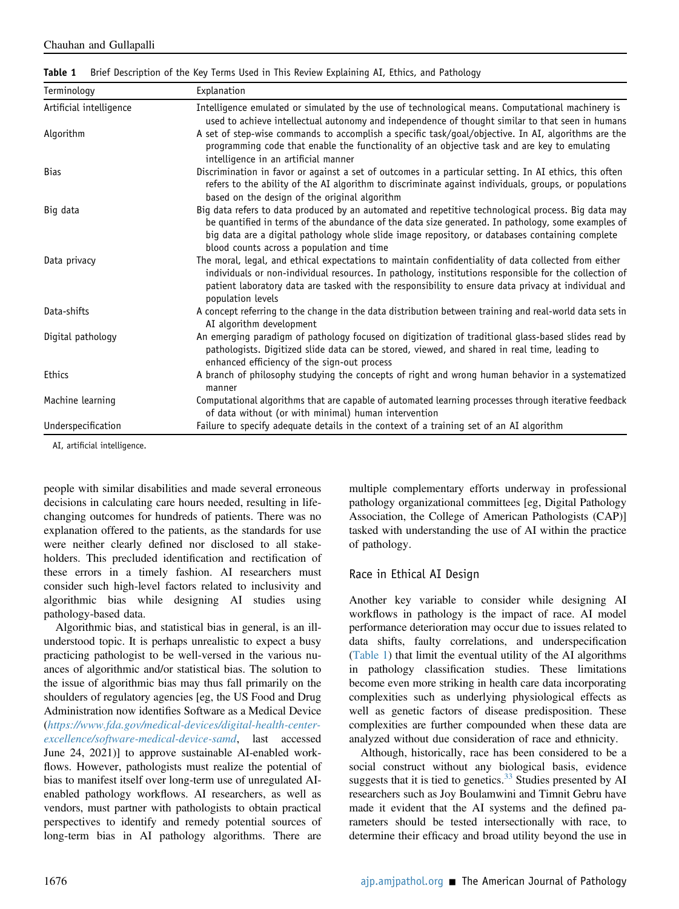<span id="page-3-0"></span>

|  | Table 1 Brief Description of the Key Terms Used in This Review Explaining AI, Ethics, and Pathology |  |  |  |  |  |  |
|--|-----------------------------------------------------------------------------------------------------|--|--|--|--|--|--|
|--|-----------------------------------------------------------------------------------------------------|--|--|--|--|--|--|

| Terminology             | Explanation                                                                                                                                                                                                                                                                                                                                               |  |  |
|-------------------------|-----------------------------------------------------------------------------------------------------------------------------------------------------------------------------------------------------------------------------------------------------------------------------------------------------------------------------------------------------------|--|--|
| Artificial intelligence | Intelligence emulated or simulated by the use of technological means. Computational machinery is<br>used to achieve intellectual autonomy and independence of thought similar to that seen in humans                                                                                                                                                      |  |  |
| Algorithm               | A set of step-wise commands to accomplish a specific task/goal/objective. In AI, algorithms are the<br>programming code that enable the functionality of an objective task and are key to emulating<br>intelligence in an artificial manner                                                                                                               |  |  |
| <b>Bias</b>             | Discrimination in favor or against a set of outcomes in a particular setting. In AI ethics, this often<br>refers to the ability of the AI algorithm to discriminate against individuals, groups, or populations<br>based on the design of the original algorithm                                                                                          |  |  |
| Big data                | Big data refers to data produced by an automated and repetitive technological process. Big data may<br>be quantified in terms of the abundance of the data size generated. In pathology, some examples of<br>big data are a digital pathology whole slide image repository, or databases containing complete<br>blood counts across a population and time |  |  |
| Data privacy            | The moral, legal, and ethical expectations to maintain confidentiality of data collected from either<br>individuals or non-individual resources. In pathology, institutions responsible for the collection of<br>patient laboratory data are tasked with the responsibility to ensure data privacy at individual and<br>population levels                 |  |  |
| Data-shifts             | A concept referring to the change in the data distribution between training and real-world data sets in<br>AI algorithm development                                                                                                                                                                                                                       |  |  |
| Digital pathology       | An emerging paradigm of pathology focused on digitization of traditional glass-based slides read by<br>pathologists. Digitized slide data can be stored, viewed, and shared in real time, leading to<br>enhanced efficiency of the sign-out process                                                                                                       |  |  |
| <b>Ethics</b>           | A branch of philosophy studying the concepts of right and wrong human behavior in a systematized<br>manner                                                                                                                                                                                                                                                |  |  |
| Machine learning        | Computational algorithms that are capable of automated learning processes through iterative feedback<br>of data without (or with minimal) human intervention                                                                                                                                                                                              |  |  |
| Underspecification      | Failure to specify adequate details in the context of a training set of an AI algorithm                                                                                                                                                                                                                                                                   |  |  |

AI, artificial intelligence.

people with similar disabilities and made several erroneous decisions in calculating care hours needed, resulting in lifechanging outcomes for hundreds of patients. There was no explanation offered to the patients, as the standards for use were neither clearly defined nor disclosed to all stakeholders. This precluded identification and rectification of these errors in a timely fashion. AI researchers must consider such high-level factors related to inclusivity and algorithmic bias while designing AI studies using pathology-based data.

Algorithmic bias, and statistical bias in general, is an illunderstood topic. It is perhaps unrealistic to expect a busy practicing pathologist to be well-versed in the various nuances of algorithmic and/or statistical bias. The solution to the issue of algorithmic bias may thus fall primarily on the shoulders of regulatory agencies [eg, the US Food and Drug Administration now identifies Software as a Medical Device ([https://www.fda.gov/medical-devices/digital-health-center](https://www.fda.gov/medical-devices/digital-health-center-excellence/software-medical-device-samd)[excellence/software-medical-device-samd](https://www.fda.gov/medical-devices/digital-health-center-excellence/software-medical-device-samd), last accessed June 24, 2021)] to approve sustainable AI-enabled workflows. However, pathologists must realize the potential of bias to manifest itself over long-term use of unregulated AIenabled pathology workflows. AI researchers, as well as vendors, must partner with pathologists to obtain practical perspectives to identify and remedy potential sources of long-term bias in AI pathology algorithms. There are multiple complementary efforts underway in professional pathology organizational committees [eg, Digital Pathology Association, the College of American Pathologists (CAP)] tasked with understanding the use of AI within the practice of pathology.

#### Race in Ethical AI Design

Another key variable to consider while designing AI workflows in pathology is the impact of race. AI model performance deterioration may occur due to issues related to data shifts, faulty correlations, and underspecification [\(Table 1\)](#page-3-0) that limit the eventual utility of the AI algorithms in pathology classification studies. These limitations become even more striking in health care data incorporating complexities such as underlying physiological effects as well as genetic factors of disease predisposition. These complexities are further compounded when these data are analyzed without due consideration of race and ethnicity.

Although, historically, race has been considered to be a social construct without any biological basis, evidence suggests that it is tied to genetics. $33$  Studies presented by AI researchers such as Joy Boulamwini and Timnit Gebru have made it evident that the AI systems and the defined parameters should be tested intersectionally with race, to determine their efficacy and broad utility beyond the use in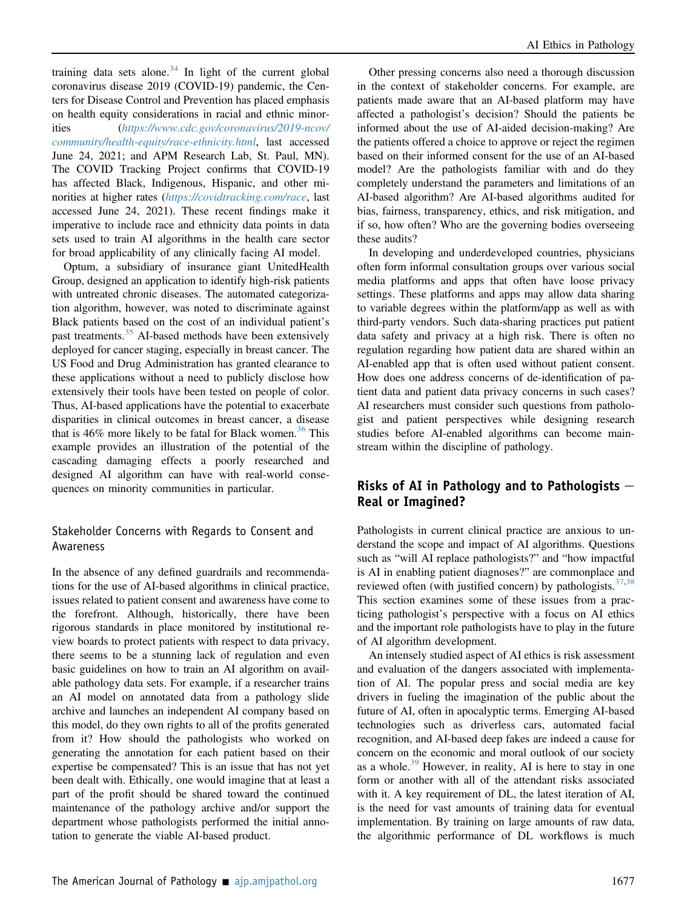training data sets alone.<sup>[34](#page-10-11)</sup> In light of the current global coronavirus disease 2019 (COVID-19) pandemic, the Centers for Disease Control and Prevention has placed emphasis on health equity considerations in racial and ethnic minorities ([https://www.cdc.gov/coronavirus/2019-ncov/](https://www.cdc.gov/coronavirus/2019-ncov/community/health-equity/race-ethnicity.html) [community/health-equity/race-ethnicity.html](https://www.cdc.gov/coronavirus/2019-ncov/community/health-equity/race-ethnicity.html), last accessed June 24, 2021; and APM Research Lab, St. Paul, MN). The COVID Tracking Project confirms that COVID-19 has affected Black, Indigenous, Hispanic, and other minorities at higher rates (<https://covidtracking.com/race>, last accessed June 24, 2021). These recent findings make it imperative to include race and ethnicity data points in data sets used to train AI algorithms in the health care sector for broad applicability of any clinically facing AI model.

Optum, a subsidiary of insurance giant UnitedHealth Group, designed an application to identify high-risk patients with untreated chronic diseases. The automated categorization algorithm, however, was noted to discriminate against Black patients based on the cost of an individual patient's past treatments.<sup>[35](#page-10-12)</sup> AI-based methods have been extensively deployed for cancer staging, especially in breast cancer. The US Food and Drug Administration has granted clearance to these applications without a need to publicly disclose how extensively their tools have been tested on people of color. Thus, AI-based applications have the potential to exacerbate disparities in clinical outcomes in breast cancer, a disease that is  $46\%$  more likely to be fatal for Black women.<sup>[36](#page-10-13)</sup> This example provides an illustration of the potential of the cascading damaging effects a poorly researched and designed AI algorithm can have with real-world consequences on minority communities in particular.

#### Stakeholder Concerns with Regards to Consent and Awareness

In the absence of any defined guardrails and recommendations for the use of AI-based algorithms in clinical practice, issues related to patient consent and awareness have come to the forefront. Although, historically, there have been rigorous standards in place monitored by institutional review boards to protect patients with respect to data privacy, there seems to be a stunning lack of regulation and even basic guidelines on how to train an AI algorithm on available pathology data sets. For example, if a researcher trains an AI model on annotated data from a pathology slide archive and launches an independent AI company based on this model, do they own rights to all of the profits generated from it? How should the pathologists who worked on generating the annotation for each patient based on their expertise be compensated? This is an issue that has not yet been dealt with. Ethically, one would imagine that at least a part of the profit should be shared toward the continued maintenance of the pathology archive and/or support the department whose pathologists performed the initial annotation to generate the viable AI-based product.

Other pressing concerns also need a thorough discussion in the context of stakeholder concerns. For example, are patients made aware that an AI-based platform may have affected a pathologist's decision? Should the patients be informed about the use of AI-aided decision-making? Are the patients offered a choice to approve or reject the regimen based on their informed consent for the use of an AI-based model? Are the pathologists familiar with and do they completely understand the parameters and limitations of an AI-based algorithm? Are AI-based algorithms audited for bias, fairness, transparency, ethics, and risk mitigation, and if so, how often? Who are the governing bodies overseeing these audits?

In developing and underdeveloped countries, physicians often form informal consultation groups over various social media platforms and apps that often have loose privacy settings. These platforms and apps may allow data sharing to variable degrees within the platform/app as well as with third-party vendors. Such data-sharing practices put patient data safety and privacy at a high risk. There is often no regulation regarding how patient data are shared within an AI-enabled app that is often used without patient consent. How does one address concerns of de-identification of patient data and patient data privacy concerns in such cases? AI researchers must consider such questions from pathologist and patient perspectives while designing research studies before AI-enabled algorithms can become mainstream within the discipline of pathology.

#### Risks of AI in Pathology and to Pathologists  $-$ Real or Imagined?

Pathologists in current clinical practice are anxious to understand the scope and impact of AI algorithms. Questions such as "will AI replace pathologists?" and "how impactful is AI in enabling patient diagnoses?" are commonplace and reviewed often (with justified concern) by pathologists.  $37,38$  $37,38$ This section examines some of these issues from a practicing pathologist's perspective with a focus on AI ethics and the important role pathologists have to play in the future of AI algorithm development.

An intensely studied aspect of AI ethics is risk assessment and evaluation of the dangers associated with implementation of AI. The popular press and social media are key drivers in fueling the imagination of the public about the future of AI, often in apocalyptic terms. Emerging AI-based technologies such as driverless cars, automated facial recognition, and AI-based deep fakes are indeed a cause for concern on the economic and moral outlook of our society as a whole.<sup>[39](#page-10-16)</sup> However, in reality, AI is here to stay in one form or another with all of the attendant risks associated with it. A key requirement of DL, the latest iteration of AI, is the need for vast amounts of training data for eventual implementation. By training on large amounts of raw data, the algorithmic performance of DL workflows is much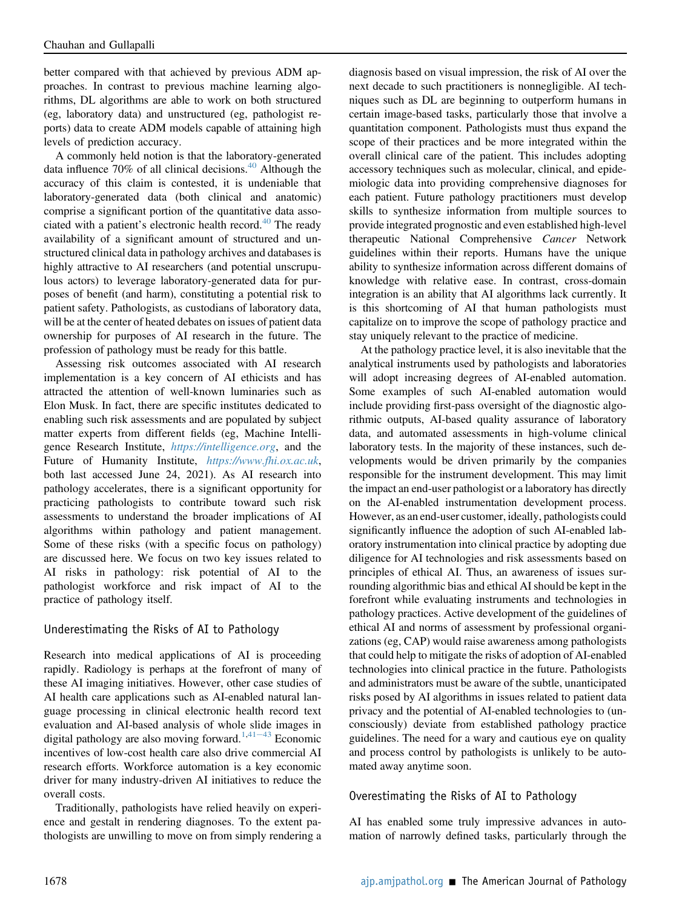better compared with that achieved by previous ADM approaches. In contrast to previous machine learning algorithms, DL algorithms are able to work on both structured (eg, laboratory data) and unstructured (eg, pathologist reports) data to create ADM models capable of attaining high levels of prediction accuracy.

A commonly held notion is that the laboratory-generated data influence 70% of all clinical decisions. $40$  Although the accuracy of this claim is contested, it is undeniable that laboratory-generated data (both clinical and anatomic) comprise a significant portion of the quantitative data asso-ciated with a patient's electronic health record.<sup>[40](#page-10-17)</sup> The ready availability of a significant amount of structured and unstructured clinical data in pathology archives and databases is highly attractive to AI researchers (and potential unscrupulous actors) to leverage laboratory-generated data for purposes of benefit (and harm), constituting a potential risk to patient safety. Pathologists, as custodians of laboratory data, will be at the center of heated debates on issues of patient data ownership for purposes of AI research in the future. The profession of pathology must be ready for this battle.

Assessing risk outcomes associated with AI research implementation is a key concern of AI ethicists and has attracted the attention of well-known luminaries such as Elon Musk. In fact, there are specific institutes dedicated to enabling such risk assessments and are populated by subject matter experts from different fields (eg, Machine Intelligence Research Institute, <https://intelligence.org>, and the Future of Humanity Institute, <https://www.fhi.ox.ac.uk>, both last accessed June 24, 2021). As AI research into pathology accelerates, there is a significant opportunity for practicing pathologists to contribute toward such risk assessments to understand the broader implications of AI algorithms within pathology and patient management. Some of these risks (with a specific focus on pathology) are discussed here. We focus on two key issues related to AI risks in pathology: risk potential of AI to the pathologist workforce and risk impact of AI to the practice of pathology itself.

#### Underestimating the Risks of AI to Pathology

Research into medical applications of AI is proceeding rapidly. Radiology is perhaps at the forefront of many of these AI imaging initiatives. However, other case studies of AI health care applications such as AI-enabled natural language processing in clinical electronic health record text evaluation and AI-based analysis of whole slide images in digital pathology are also moving forward.<sup>[1,](#page-9-0)[41](#page-10-18)-[43](#page-10-18)</sup> Economic incentives of low-cost health care also drive commercial AI research efforts. Workforce automation is a key economic driver for many industry-driven AI initiatives to reduce the overall costs.

Traditionally, pathologists have relied heavily on experience and gestalt in rendering diagnoses. To the extent pathologists are unwilling to move on from simply rendering a diagnosis based on visual impression, the risk of AI over the next decade to such practitioners is nonnegligible. AI techniques such as DL are beginning to outperform humans in certain image-based tasks, particularly those that involve a quantitation component. Pathologists must thus expand the scope of their practices and be more integrated within the overall clinical care of the patient. This includes adopting accessory techniques such as molecular, clinical, and epidemiologic data into providing comprehensive diagnoses for each patient. Future pathology practitioners must develop skills to synthesize information from multiple sources to provide integrated prognostic and even established high-level therapeutic National Comprehensive Cancer Network guidelines within their reports. Humans have the unique ability to synthesize information across different domains of knowledge with relative ease. In contrast, cross-domain integration is an ability that AI algorithms lack currently. It is this shortcoming of AI that human pathologists must capitalize on to improve the scope of pathology practice and stay uniquely relevant to the practice of medicine.

At the pathology practice level, it is also inevitable that the analytical instruments used by pathologists and laboratories will adopt increasing degrees of AI-enabled automation. Some examples of such AI-enabled automation would include providing first-pass oversight of the diagnostic algorithmic outputs, AI-based quality assurance of laboratory data, and automated assessments in high-volume clinical laboratory tests. In the majority of these instances, such developments would be driven primarily by the companies responsible for the instrument development. This may limit the impact an end-user pathologist or a laboratory has directly on the AI-enabled instrumentation development process. However, as an end-user customer, ideally, pathologists could significantly influence the adoption of such AI-enabled laboratory instrumentation into clinical practice by adopting due diligence for AI technologies and risk assessments based on principles of ethical AI. Thus, an awareness of issues surrounding algorithmic bias and ethical AI should be kept in the forefront while evaluating instruments and technologies in pathology practices. Active development of the guidelines of ethical AI and norms of assessment by professional organizations (eg, CAP) would raise awareness among pathologists that could help to mitigate the risks of adoption of AI-enabled technologies into clinical practice in the future. Pathologists and administrators must be aware of the subtle, unanticipated risks posed by AI algorithms in issues related to patient data privacy and the potential of AI-enabled technologies to (unconsciously) deviate from established pathology practice guidelines. The need for a wary and cautious eye on quality and process control by pathologists is unlikely to be automated away anytime soon.

#### Overestimating the Risks of AI to Pathology

AI has enabled some truly impressive advances in automation of narrowly defined tasks, particularly through the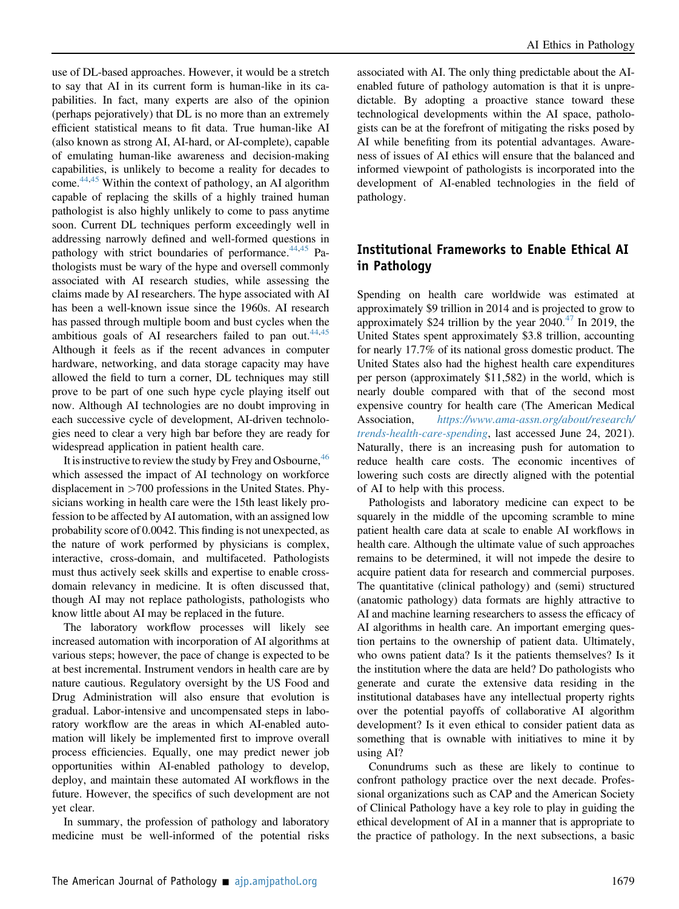use of DL-based approaches. However, it would be a stretch to say that AI in its current form is human-like in its capabilities. In fact, many experts are also of the opinion (perhaps pejoratively) that DL is no more than an extremely efficient statistical means to fit data. True human-like AI (also known as strong AI, AI-hard, or AI-complete), capable of emulating human-like awareness and decision-making capabilities, is unlikely to become a reality for decades to come.<sup>[44](#page-10-19)[,45](#page-10-20)</sup> Within the context of pathology, an AI algorithm capable of replacing the skills of a highly trained human pathologist is also highly unlikely to come to pass anytime soon. Current DL techniques perform exceedingly well in addressing narrowly defined and well-formed questions in pathology with strict boundaries of performance. $^{44,45}$  $^{44,45}$  $^{44,45}$  $^{44,45}$  Pathologists must be wary of the hype and oversell commonly associated with AI research studies, while assessing the claims made by AI researchers. The hype associated with AI has been a well-known issue since the 1960s. AI research has passed through multiple boom and bust cycles when the ambitious goals of AI researchers failed to pan out. $44,45$  $44,45$ Although it feels as if the recent advances in computer hardware, networking, and data storage capacity may have allowed the field to turn a corner, DL techniques may still prove to be part of one such hype cycle playing itself out now. Although AI technologies are no doubt improving in each successive cycle of development, AI-driven technologies need to clear a very high bar before they are ready for widespread application in patient health care.

It is instructive to review the study by Frey and Osbourne,  $46$ which assessed the impact of AI technology on workforce displacement in >700 professions in the United States. Physicians working in health care were the 15th least likely profession to be affected by AI automation, with an assigned low probability score of 0.0042. This finding is not unexpected, as the nature of work performed by physicians is complex, interactive, cross-domain, and multifaceted. Pathologists must thus actively seek skills and expertise to enable crossdomain relevancy in medicine. It is often discussed that, though AI may not replace pathologists, pathologists who know little about AI may be replaced in the future.

The laboratory workflow processes will likely see increased automation with incorporation of AI algorithms at various steps; however, the pace of change is expected to be at best incremental. Instrument vendors in health care are by nature cautious. Regulatory oversight by the US Food and Drug Administration will also ensure that evolution is gradual. Labor-intensive and uncompensated steps in laboratory workflow are the areas in which AI-enabled automation will likely be implemented first to improve overall process efficiencies. Equally, one may predict newer job opportunities within AI-enabled pathology to develop, deploy, and maintain these automated AI workflows in the future. However, the specifics of such development are not yet clear.

In summary, the profession of pathology and laboratory medicine must be well-informed of the potential risks

associated with AI. The only thing predictable about the AIenabled future of pathology automation is that it is unpredictable. By adopting a proactive stance toward these technological developments within the AI space, pathologists can be at the forefront of mitigating the risks posed by AI while benefiting from its potential advantages. Awareness of issues of AI ethics will ensure that the balanced and informed viewpoint of pathologists is incorporated into the development of AI-enabled technologies in the field of pathology.

## Institutional Frameworks to Enable Ethical AI in Pathology

Spending on health care worldwide was estimated at approximately \$9 trillion in 2014 and is projected to grow to approximately \$24 trillion by the year  $2040^{47}$  $2040^{47}$  $2040^{47}$  In 2019, the United States spent approximately \$3.8 trillion, accounting for nearly 17.7% of its national gross domestic product. The United States also had the highest health care expenditures per person (approximately \$11,582) in the world, which is nearly double compared with that of the second most expensive country for health care (The American Medical Association, [https://www.ama-assn.org/about/research/](https://www.ama-assn.org/about/research/trends-health-care-spending) [trends-health-care-spending](https://www.ama-assn.org/about/research/trends-health-care-spending), last accessed June 24, 2021). Naturally, there is an increasing push for automation to reduce health care costs. The economic incentives of lowering such costs are directly aligned with the potential of AI to help with this process.

Pathologists and laboratory medicine can expect to be squarely in the middle of the upcoming scramble to mine patient health care data at scale to enable AI workflows in health care. Although the ultimate value of such approaches remains to be determined, it will not impede the desire to acquire patient data for research and commercial purposes. The quantitative (clinical pathology) and (semi) structured (anatomic pathology) data formats are highly attractive to AI and machine learning researchers to assess the efficacy of AI algorithms in health care. An important emerging question pertains to the ownership of patient data. Ultimately, who owns patient data? Is it the patients themselves? Is it the institution where the data are held? Do pathologists who generate and curate the extensive data residing in the institutional databases have any intellectual property rights over the potential payoffs of collaborative AI algorithm development? Is it even ethical to consider patient data as something that is ownable with initiatives to mine it by using AI?

Conundrums such as these are likely to continue to confront pathology practice over the next decade. Professional organizations such as CAP and the American Society of Clinical Pathology have a key role to play in guiding the ethical development of AI in a manner that is appropriate to the practice of pathology. In the next subsections, a basic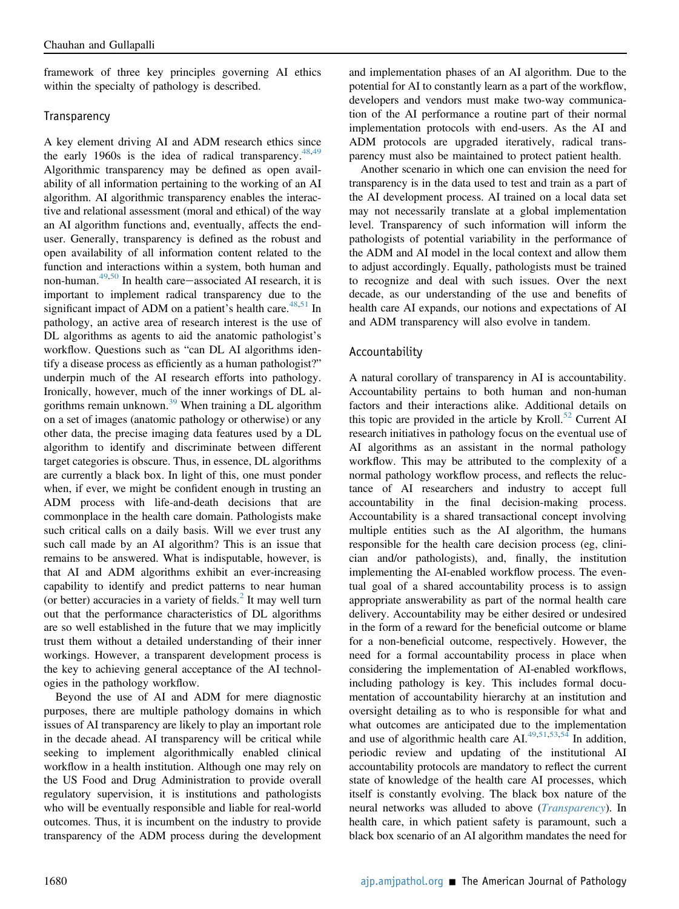framework of three key principles governing AI ethics within the specialty of pathology is described.

#### <span id="page-7-0"></span>**Transparency**

A key element driving AI and ADM research ethics since the early 1960s is the idea of radical transparency. $48,49$  $48,49$ Algorithmic transparency may be defined as open availability of all information pertaining to the working of an AI algorithm. AI algorithmic transparency enables the interactive and relational assessment (moral and ethical) of the way an AI algorithm functions and, eventually, affects the enduser. Generally, transparency is defined as the robust and open availability of all information content related to the function and interactions within a system, both human and non-human. $49,50$  $49,50$  $49,50$  In health care-associated AI research, it is important to implement radical transparency due to the significant impact of ADM on a patient's health care. $48,51$  $48,51$  In pathology, an active area of research interest is the use of DL algorithms as agents to aid the anatomic pathologist's workflow. Questions such as "can DL AI algorithms identify a disease process as efficiently as a human pathologist?" underpin much of the AI research efforts into pathology. Ironically, however, much of the inner workings of DL al-gorithms remain unknown.<sup>[39](#page-10-16)</sup> When training a DL algorithm on a set of images (anatomic pathology or otherwise) or any other data, the precise imaging data features used by a DL algorithm to identify and discriminate between different target categories is obscure. Thus, in essence, DL algorithms are currently a black box. In light of this, one must ponder when, if ever, we might be confident enough in trusting an ADM process with life-and-death decisions that are commonplace in the health care domain. Pathologists make such critical calls on a daily basis. Will we ever trust any such call made by an AI algorithm? This is an issue that remains to be answered. What is indisputable, however, is that AI and ADM algorithms exhibit an ever-increasing capability to identify and predict patterns to near human (or better) accuracies in a variety of fields. $<sup>2</sup>$  $<sup>2</sup>$  $<sup>2</sup>$  It may well turn</sup> out that the performance characteristics of DL algorithms are so well established in the future that we may implicitly trust them without a detailed understanding of their inner workings. However, a transparent development process is the key to achieving general acceptance of the AI technologies in the pathology workflow.

Beyond the use of AI and ADM for mere diagnostic purposes, there are multiple pathology domains in which issues of AI transparency are likely to play an important role in the decade ahead. AI transparency will be critical while seeking to implement algorithmically enabled clinical workflow in a health institution. Although one may rely on the US Food and Drug Administration to provide overall regulatory supervision, it is institutions and pathologists who will be eventually responsible and liable for real-world outcomes. Thus, it is incumbent on the industry to provide transparency of the ADM process during the development and implementation phases of an AI algorithm. Due to the potential for AI to constantly learn as a part of the workflow, developers and vendors must make two-way communication of the AI performance a routine part of their normal implementation protocols with end-users. As the AI and ADM protocols are upgraded iteratively, radical transparency must also be maintained to protect patient health.

Another scenario in which one can envision the need for transparency is in the data used to test and train as a part of the AI development process. AI trained on a local data set may not necessarily translate at a global implementation level. Transparency of such information will inform the pathologists of potential variability in the performance of the ADM and AI model in the local context and allow them to adjust accordingly. Equally, pathologists must be trained to recognize and deal with such issues. Over the next decade, as our understanding of the use and benefits of health care AI expands, our notions and expectations of AI and ADM transparency will also evolve in tandem.

#### Accountability

A natural corollary of transparency in AI is accountability. Accountability pertains to both human and non-human factors and their interactions alike. Additional details on this topic are provided in the article by Kroll.<sup>[52](#page-10-27)</sup> Current AI research initiatives in pathology focus on the eventual use of AI algorithms as an assistant in the normal pathology workflow. This may be attributed to the complexity of a normal pathology workflow process, and reflects the reluctance of AI researchers and industry to accept full accountability in the final decision-making process. Accountability is a shared transactional concept involving multiple entities such as the AI algorithm, the humans responsible for the health care decision process (eg, clinician and/or pathologists), and, finally, the institution implementing the AI-enabled workflow process. The eventual goal of a shared accountability process is to assign appropriate answerability as part of the normal health care delivery. Accountability may be either desired or undesired in the form of a reward for the beneficial outcome or blame for a non-beneficial outcome, respectively. However, the need for a formal accountability process in place when considering the implementation of AI-enabled workflows, including pathology is key. This includes formal documentation of accountability hierarchy at an institution and oversight detailing as to who is responsible for what and what outcomes are anticipated due to the implementation and use of algorithmic health care AI. $49,51,53,54$  $49,51,53,54$  $49,51,53,54$  $49,51,53,54$  In addition, periodic review and updating of the institutional AI accountability protocols are mandatory to reflect the current state of knowledge of the health care AI processes, which itself is constantly evolving. The black box nature of the neural networks was alluded to above (*[Transparency](#page-7-0)*). In health care, in which patient safety is paramount, such a black box scenario of an AI algorithm mandates the need for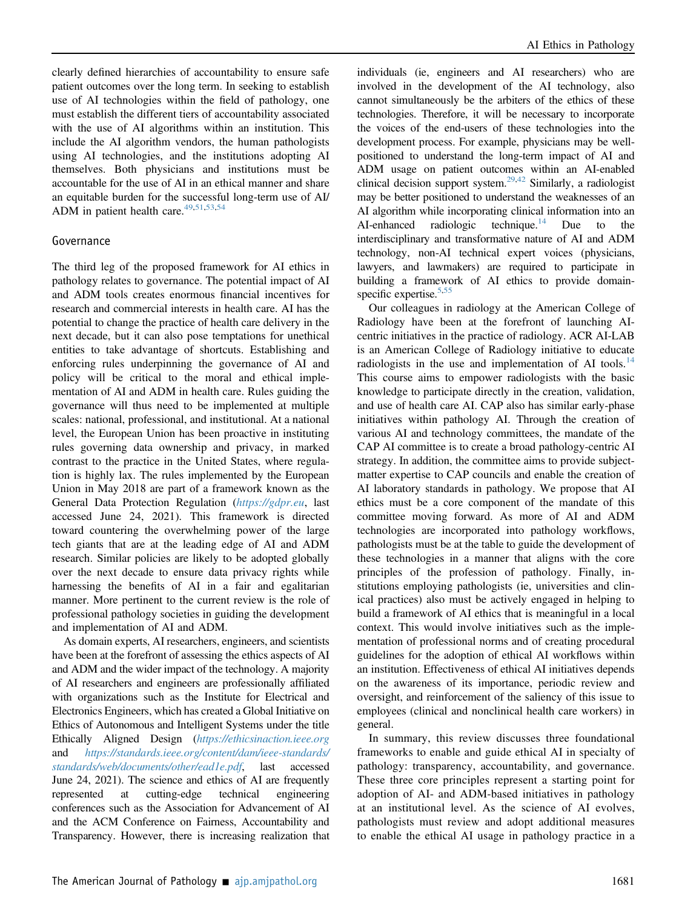clearly defined hierarchies of accountability to ensure safe patient outcomes over the long term. In seeking to establish use of AI technologies within the field of pathology, one must establish the different tiers of accountability associated with the use of AI algorithms within an institution. This include the AI algorithm vendors, the human pathologists using AI technologies, and the institutions adopting AI themselves. Both physicians and institutions must be accountable for the use of AI in an ethical manner and share an equitable burden for the successful long-term use of AI/ ADM in patient health care. $49,51,53,54$  $49,51,53,54$  $49,51,53,54$  $49,51,53,54$ 

#### Governance

The third leg of the proposed framework for AI ethics in pathology relates to governance. The potential impact of AI and ADM tools creates enormous financial incentives for research and commercial interests in health care. AI has the potential to change the practice of health care delivery in the next decade, but it can also pose temptations for unethical entities to take advantage of shortcuts. Establishing and enforcing rules underpinning the governance of AI and policy will be critical to the moral and ethical implementation of AI and ADM in health care. Rules guiding the governance will thus need to be implemented at multiple scales: national, professional, and institutional. At a national level, the European Union has been proactive in instituting rules governing data ownership and privacy, in marked contrast to the practice in the United States, where regulation is highly lax. The rules implemented by the European Union in May 2018 are part of a framework known as the General Data Protection Regulation (<https://gdpr.eu>, last accessed June 24, 2021). This framework is directed toward countering the overwhelming power of the large tech giants that are at the leading edge of AI and ADM research. Similar policies are likely to be adopted globally over the next decade to ensure data privacy rights while harnessing the benefits of AI in a fair and egalitarian manner. More pertinent to the current review is the role of professional pathology societies in guiding the development and implementation of AI and ADM.

As domain experts, AI researchers, engineers, and scientists have been at the forefront of assessing the ethics aspects of AI and ADM and the wider impact of the technology. A majority of AI researchers and engineers are professionally affiliated with organizations such as the Institute for Electrical and Electronics Engineers, which has created a Global Initiative on Ethics of Autonomous and Intelligent Systems under the title Ethically Aligned Design (<https://ethicsinaction.ieee.org> and [https://standards.ieee.org/content/dam/ieee-standards/](https://standards.ieee.org/content/dam/ieee-standards/standards/web/documents/other/ead1e.pdf) [standards/web/documents/other/ead1e.pdf](https://standards.ieee.org/content/dam/ieee-standards/standards/web/documents/other/ead1e.pdf), last accessed June 24, 2021). The science and ethics of AI are frequently represented at cutting-edge technical engineering conferences such as the Association for Advancement of AI and the ACM Conference on Fairness, Accountability and Transparency. However, there is increasing realization that

individuals (ie, engineers and AI researchers) who are involved in the development of the AI technology, also cannot simultaneously be the arbiters of the ethics of these technologies. Therefore, it will be necessary to incorporate the voices of the end-users of these technologies into the development process. For example, physicians may be wellpositioned to understand the long-term impact of AI and ADM usage on patient outcomes within an AI-enabled clinical decision support system.[29,](#page-10-6)[42](#page-10-30) Similarly, a radiologist may be better positioned to understand the weaknesses of an AI algorithm while incorporating clinical information into an AI-enhanced radiologic technique.<sup>14</sup> Due to the interdisciplinary and transformative nature of AI and ADM technology, non-AI technical expert voices (physicians, lawyers, and lawmakers) are required to participate in building a framework of AI ethics to provide domainspecific expertise. $5,55$  $5,55$ 

Our colleagues in radiology at the American College of Radiology have been at the forefront of launching AIcentric initiatives in the practice of radiology. ACR AI-LAB is an American College of Radiology initiative to educate radiologists in the use and implementation of AI tools.<sup>[14](#page-9-10)</sup> This course aims to empower radiologists with the basic knowledge to participate directly in the creation, validation, and use of health care AI. CAP also has similar early-phase initiatives within pathology AI. Through the creation of various AI and technology committees, the mandate of the CAP AI committee is to create a broad pathology-centric AI strategy. In addition, the committee aims to provide subjectmatter expertise to CAP councils and enable the creation of AI laboratory standards in pathology. We propose that AI ethics must be a core component of the mandate of this committee moving forward. As more of AI and ADM technologies are incorporated into pathology workflows, pathologists must be at the table to guide the development of these technologies in a manner that aligns with the core principles of the profession of pathology. Finally, institutions employing pathologists (ie, universities and clinical practices) also must be actively engaged in helping to build a framework of AI ethics that is meaningful in a local context. This would involve initiatives such as the implementation of professional norms and of creating procedural guidelines for the adoption of ethical AI workflows within an institution. Effectiveness of ethical AI initiatives depends on the awareness of its importance, periodic review and oversight, and reinforcement of the saliency of this issue to employees (clinical and nonclinical health care workers) in general.

In summary, this review discusses three foundational frameworks to enable and guide ethical AI in specialty of pathology: transparency, accountability, and governance. These three core principles represent a starting point for adoption of AI- and ADM-based initiatives in pathology at an institutional level. As the science of AI evolves, pathologists must review and adopt additional measures to enable the ethical AI usage in pathology practice in a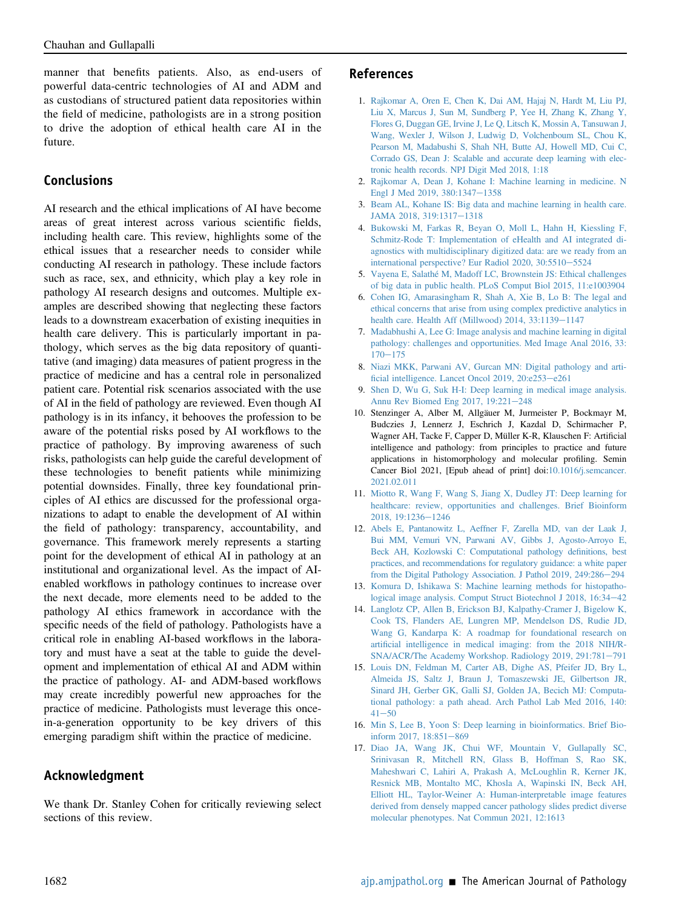manner that benefits patients. Also, as end-users of powerful data-centric technologies of AI and ADM and as custodians of structured patient data repositories within the field of medicine, pathologists are in a strong position to drive the adoption of ethical health care AI in the future.

### Conclusions

AI research and the ethical implications of AI have become areas of great interest across various scientific fields, including health care. This review, highlights some of the ethical issues that a researcher needs to consider while conducting AI research in pathology. These include factors such as race, sex, and ethnicity, which play a key role in pathology AI research designs and outcomes. Multiple examples are described showing that neglecting these factors leads to a downstream exacerbation of existing inequities in health care delivery. This is particularly important in pathology, which serves as the big data repository of quantitative (and imaging) data measures of patient progress in the practice of medicine and has a central role in personalized patient care. Potential risk scenarios associated with the use of AI in the field of pathology are reviewed. Even though AI pathology is in its infancy, it behooves the profession to be aware of the potential risks posed by AI workflows to the practice of pathology. By improving awareness of such risks, pathologists can help guide the careful development of these technologies to benefit patients while minimizing potential downsides. Finally, three key foundational principles of AI ethics are discussed for the professional organizations to adapt to enable the development of AI within the field of pathology: transparency, accountability, and governance. This framework merely represents a starting point for the development of ethical AI in pathology at an institutional and organizational level. As the impact of AIenabled workflows in pathology continues to increase over the next decade, more elements need to be added to the pathology AI ethics framework in accordance with the specific needs of the field of pathology. Pathologists have a critical role in enabling AI-based workflows in the laboratory and must have a seat at the table to guide the development and implementation of ethical AI and ADM within the practice of pathology. AI- and ADM-based workflows may create incredibly powerful new approaches for the practice of medicine. Pathologists must leverage this oncein-a-generation opportunity to be key drivers of this emerging paradigm shift within the practice of medicine.

### Acknowledgment

We thank Dr. Stanley Cohen for critically reviewing select sections of this review.

#### References

- <span id="page-9-0"></span>1. [Rajkomar A, Oren E, Chen K, Dai AM, Hajaj N, Hardt M, Liu PJ,](http://refhub.elsevier.com/S0002-9440(21)00303-5/sref1) [Liu X, Marcus J, Sun M, Sundberg P, Yee H, Zhang K, Zhang Y,](http://refhub.elsevier.com/S0002-9440(21)00303-5/sref1) [Flores G, Duggan GE, Irvine J, Le Q, Litsch K, Mossin A, Tansuwan J,](http://refhub.elsevier.com/S0002-9440(21)00303-5/sref1) [Wang, Wexler J, Wilson J, Ludwig D, Volchenboum SL, Chou K,](http://refhub.elsevier.com/S0002-9440(21)00303-5/sref1) [Pearson M, Madabushi S, Shah NH, Butte AJ, Howell MD, Cui C,](http://refhub.elsevier.com/S0002-9440(21)00303-5/sref1) [Corrado GS, Dean J: Scalable and accurate deep learning with elec](http://refhub.elsevier.com/S0002-9440(21)00303-5/sref1)[tronic health records. NPJ Digit Med 2018, 1:18](http://refhub.elsevier.com/S0002-9440(21)00303-5/sref1)
- <span id="page-9-1"></span>2. [Rajkomar A, Dean J, Kohane I: Machine learning in medicine. N](http://refhub.elsevier.com/S0002-9440(21)00303-5/sref2) [Engl J Med 2019, 380:1347](http://refhub.elsevier.com/S0002-9440(21)00303-5/sref2)-[1358](http://refhub.elsevier.com/S0002-9440(21)00303-5/sref2)
- <span id="page-9-2"></span>3. [Beam AL, Kohane IS: Big data and machine learning in health care.](http://refhub.elsevier.com/S0002-9440(21)00303-5/sref3) [JAMA 2018, 319:1317](http://refhub.elsevier.com/S0002-9440(21)00303-5/sref3)-[1318](http://refhub.elsevier.com/S0002-9440(21)00303-5/sref3)
- <span id="page-9-3"></span>4. [Bukowski M, Farkas R, Beyan O, Moll L, Hahn H, Kiessling F,](http://refhub.elsevier.com/S0002-9440(21)00303-5/sref4) [Schmitz-Rode T: Implementation of eHealth and AI integrated di](http://refhub.elsevier.com/S0002-9440(21)00303-5/sref4)[agnostics with multidisciplinary digitized data: are we ready from an](http://refhub.elsevier.com/S0002-9440(21)00303-5/sref4) [international perspective? Eur Radiol 2020, 30:5510](http://refhub.elsevier.com/S0002-9440(21)00303-5/sref4)-[5524](http://refhub.elsevier.com/S0002-9440(21)00303-5/sref4)
- <span id="page-9-4"></span>5. [Vayena E, Salathé M, Madoff LC, Brownstein JS: Ethical challenges](http://refhub.elsevier.com/S0002-9440(21)00303-5/sref5) [of big data in public health. PLoS Comput Biol 2015, 11:e1003904](http://refhub.elsevier.com/S0002-9440(21)00303-5/sref5)
- <span id="page-9-5"></span>6. [Cohen IG, Amarasingham R, Shah A, Xie B, Lo B: The legal and](http://refhub.elsevier.com/S0002-9440(21)00303-5/sref6) [ethical concerns that arise from using complex predictive analytics in](http://refhub.elsevier.com/S0002-9440(21)00303-5/sref6) [health care. Health Aff \(Millwood\) 2014, 33:1139](http://refhub.elsevier.com/S0002-9440(21)00303-5/sref6)-[1147](http://refhub.elsevier.com/S0002-9440(21)00303-5/sref6)
- <span id="page-9-6"></span>7. [Madabhushi A, Lee G: Image analysis and machine learning in digital](http://refhub.elsevier.com/S0002-9440(21)00303-5/sref7) [pathology: challenges and opportunities. Med Image Anal 2016, 33:](http://refhub.elsevier.com/S0002-9440(21)00303-5/sref7)  $170 - 175$  $170 - 175$  $170 - 175$
- <span id="page-9-7"></span>8. [Niazi MKK, Parwani AV, Gurcan MN: Digital pathology and arti](http://refhub.elsevier.com/S0002-9440(21)00303-5/sref8)fi[cial intelligence. Lancet Oncol 2019, 20:e253](http://refhub.elsevier.com/S0002-9440(21)00303-5/sref8)-[e261](http://refhub.elsevier.com/S0002-9440(21)00303-5/sref8)
- <span id="page-9-9"></span>9. [Shen D, Wu G, Suk H-I: Deep learning in medical image analysis.](http://refhub.elsevier.com/S0002-9440(21)00303-5/sref9) Annu Rev Biomed Eng  $2017$ ,  $19:221-248$  $19:221-248$
- <span id="page-9-8"></span>10. Stenzinger A, Alber M, Allgäuer M, Jurmeister P, Bockmayr M, Budczies J, Lennerz J, Eschrich J, Kazdal D, Schirmacher P, Wagner AH, Tacke F, Capper D, Müller K-R, Klauschen F: Artificial intelligence and pathology: from principles to practice and future applications in histomorphology and molecular profiling. Semin Cancer Biol 2021, [Epub ahead of print] doi:[10.1016/j.semcancer.](https://doi.org/10.1016/j.semcancer.2021.02.011) [2021.02.011](https://doi.org/10.1016/j.semcancer.2021.02.011)
- 11. [Miotto R, Wang F, Wang S, Jiang X, Dudley JT: Deep learning for](http://refhub.elsevier.com/S0002-9440(21)00303-5/sref11) [healthcare: review, opportunities and challenges. Brief Bioinform](http://refhub.elsevier.com/S0002-9440(21)00303-5/sref11) [2018, 19:1236](http://refhub.elsevier.com/S0002-9440(21)00303-5/sref11)-[1246](http://refhub.elsevier.com/S0002-9440(21)00303-5/sref11)
- 12. [Abels E, Pantanowitz L, Aeffner F, Zarella MD, van der Laak J,](http://refhub.elsevier.com/S0002-9440(21)00303-5/sref12) [Bui MM, Vemuri VN, Parwani AV, Gibbs J, Agosto-Arroyo E,](http://refhub.elsevier.com/S0002-9440(21)00303-5/sref12) [Beck AH, Kozlowski C: Computational pathology de](http://refhub.elsevier.com/S0002-9440(21)00303-5/sref12)finitions, best [practices, and recommendations for regulatory guidance: a white paper](http://refhub.elsevier.com/S0002-9440(21)00303-5/sref12) [from the Digital Pathology Association. J Pathol 2019, 249:286](http://refhub.elsevier.com/S0002-9440(21)00303-5/sref12)-[294](http://refhub.elsevier.com/S0002-9440(21)00303-5/sref12)
- 13. [Komura D, Ishikawa S: Machine learning methods for histopatho](http://refhub.elsevier.com/S0002-9440(21)00303-5/sref13)[logical image analysis. Comput Struct Biotechnol J 2018, 16:34](http://refhub.elsevier.com/S0002-9440(21)00303-5/sref13)-[42](http://refhub.elsevier.com/S0002-9440(21)00303-5/sref13)
- <span id="page-9-10"></span>14. [Langlotz CP, Allen B, Erickson BJ, Kalpathy-Cramer J, Bigelow K,](http://refhub.elsevier.com/S0002-9440(21)00303-5/sref14) [Cook TS, Flanders AE, Lungren MP, Mendelson DS, Rudie JD,](http://refhub.elsevier.com/S0002-9440(21)00303-5/sref14) [Wang G, Kandarpa K: A roadmap for foundational research on](http://refhub.elsevier.com/S0002-9440(21)00303-5/sref14) artifi[cial intelligence in medical imaging: from the 2018 NIH/R-](http://refhub.elsevier.com/S0002-9440(21)00303-5/sref14)[SNA/ACR/The Academy Workshop. Radiology 2019, 291:781](http://refhub.elsevier.com/S0002-9440(21)00303-5/sref14)-[791](http://refhub.elsevier.com/S0002-9440(21)00303-5/sref14)
- <span id="page-9-11"></span>15. [Louis DN, Feldman M, Carter AB, Dighe AS, Pfeifer JD, Bry L,](http://refhub.elsevier.com/S0002-9440(21)00303-5/sref15) [Almeida JS, Saltz J, Braun J, Tomaszewski JE, Gilbertson JR,](http://refhub.elsevier.com/S0002-9440(21)00303-5/sref15) [Sinard JH, Gerber GK, Galli SJ, Golden JA, Becich MJ: Computa](http://refhub.elsevier.com/S0002-9440(21)00303-5/sref15)[tional pathology: a path ahead. Arch Pathol Lab Med 2016, 140:](http://refhub.elsevier.com/S0002-9440(21)00303-5/sref15)  $41 - 50$  $41 - 50$  $41 - 50$
- <span id="page-9-12"></span>16. [Min S, Lee B, Yoon S: Deep learning in bioinformatics. Brief Bio](http://refhub.elsevier.com/S0002-9440(21)00303-5/sref16)inform 2017,  $18:851-869$  $18:851-869$
- <span id="page-9-13"></span>17. [Diao JA, Wang JK, Chui WF, Mountain V, Gullapally SC,](http://refhub.elsevier.com/S0002-9440(21)00303-5/sref17) [Srinivasan R, Mitchell RN, Glass B, Hoffman S, Rao SK,](http://refhub.elsevier.com/S0002-9440(21)00303-5/sref17) [Maheshwari C, Lahiri A, Prakash A, McLoughlin R, Kerner JK,](http://refhub.elsevier.com/S0002-9440(21)00303-5/sref17) [Resnick MB, Montalto MC, Khosla A, Wapinski IN, Beck AH,](http://refhub.elsevier.com/S0002-9440(21)00303-5/sref17) [Elliott HL, Taylor-Weiner A: Human-interpretable image features](http://refhub.elsevier.com/S0002-9440(21)00303-5/sref17) [derived from densely mapped cancer pathology slides predict diverse](http://refhub.elsevier.com/S0002-9440(21)00303-5/sref17) [molecular phenotypes. Nat Commun 2021, 12:1613](http://refhub.elsevier.com/S0002-9440(21)00303-5/sref17)